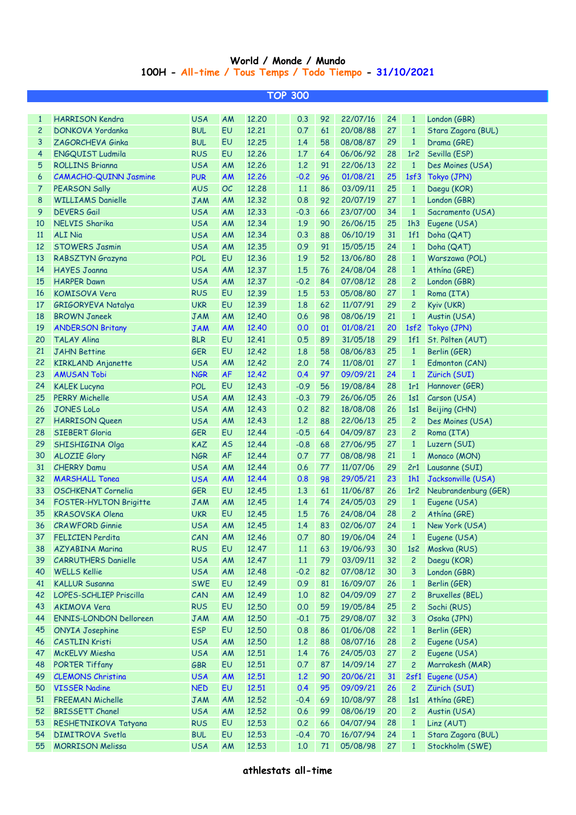## **World / Monde / Mundo 100H - All-time / Tous Temps / Todo Tiempo - 31/10/2021**

|                | <b>TOP 300</b>                             |            |           |       |  |                    |    |                      |    |                 |                                 |  |
|----------------|--------------------------------------------|------------|-----------|-------|--|--------------------|----|----------------------|----|-----------------|---------------------------------|--|
|                |                                            |            |           |       |  |                    |    |                      |    |                 |                                 |  |
| $\mathbf{1}$   | <b>HARRISON Kendra</b>                     | <b>USA</b> | AM        | 12.20 |  | 0.3                | 92 | 22/07/16             | 24 | $\mathbf{1}$    | London (GBR)                    |  |
| $\mathbf{2}$   | DONKOVA Yordanka                           | <b>BUL</b> | EU        | 12,21 |  | 0.7                | 61 | 20/08/88             | 27 | $\mathbf{1}$    | Stara Zagora (BUL)              |  |
| 3              | ZAGORCHEVA Ginka                           | <b>BUL</b> | EU        | 12.25 |  | 1.4                | 58 | 08/08/87             | 29 | $\mathbf{1}$    | Drama (GRE)                     |  |
| 4              | ENGQUIST Ludmila                           | <b>RUS</b> | EU        | 12.26 |  | 1.7                | 64 | 06/06/92             | 28 | 1r <sub>2</sub> | Sevilla (ESP)                   |  |
| 5              | <b>ROLLINS Brianna</b>                     | <b>USA</b> | AM        | 12.26 |  | 1.2                | 91 | 22/06/13             | 22 | $\mathbf{1}$    | Des Moines (USA)                |  |
| 6              | <b>CAMACHO-QUINN Jasmine</b>               | <b>PUR</b> | <b>AM</b> | 12.26 |  | $-0.2$             | 96 | 01/08/21             | 25 | 1sf3            | Tokyo (JPN)                     |  |
| $\overline{7}$ | PEARSON Sally                              | <b>AUS</b> | OC        | 12.28 |  | 1.1                | 86 | 03/09/11             | 25 | $\mathbf{1}$    | Daegu (KOR)                     |  |
| 8              | <b>WILLIAMS Danielle</b>                   | <b>JAM</b> | AM        | 12.32 |  | 0.8                | 92 | 20/07/19             | 27 | $\mathbf{1}$    | London (GBR)                    |  |
| 9              | <b>DEVERS</b> Gail                         | <b>USA</b> | AM        | 12.33 |  | $-0.3$             | 66 | 23/07/00             | 34 | $\mathbf{1}$    | Sacramento (USA)                |  |
| 10             | NELVIS Sharika                             | <b>USA</b> | AM        | 12.34 |  | 1.9                | 90 | 26/06/15             | 25 | 1h3             | Eugene (USA)                    |  |
| <b>11</b>      | <b>ALI Nia</b>                             | <b>USA</b> | AM        | 12.34 |  | 0.3                | 88 | 06/10/19             | 31 | 1f1             | Doha (QAT)                      |  |
| 12             | <b>STOWERS Jasmin</b>                      | <b>USA</b> | AM        | 12.35 |  | 0.9                | 91 | 15/05/15             | 24 | $\mathbf{1}$    | Doha (QAT)                      |  |
| 13             | <b>RABSZTYN</b> Grazyna                    | <b>POL</b> | EU        | 12.36 |  | 1.9                | 52 | 13/06/80             | 28 | $\mathbf{1}$    | Warszawa (POL)                  |  |
| 14             | <b>HAYES Joanna</b>                        | <b>USA</b> | AM        | 12.37 |  | 1.5                | 76 | 24/08/04             | 28 | $\mathbf{1}$    | Athína (GRE)                    |  |
| 15             | <b>HARPER Dawn</b>                         | <b>USA</b> | AM        | 12.37 |  | $-0.2$             | 84 | 07/08/12             | 28 | $\overline{c}$  | London (GBR)                    |  |
| 16             | <b>KOMISOVA Vera</b>                       | <b>RUS</b> | EU        | 12.39 |  | 1.5                | 53 | 05/08/80             | 27 | $\mathbf{1}$    | Roma (ITA)                      |  |
| 17             | GRIGORYEVA Natalya                         | <b>UKR</b> | EU        | 12.39 |  | 1.8                | 62 | 11/07/91             | 29 | $\overline{c}$  | Kyiv (UKR)                      |  |
| 18             | <b>BROWN Janeek</b>                        | <b>JAM</b> | AM        | 12.40 |  | 0.6                | 98 | 08/06/19             | 21 | $\mathbf{1}$    | Austin (USA)                    |  |
| 19             | <b>ANDERSON Britany</b>                    | <b>JAM</b> | AM        | 12.40 |  | 0.0                | 01 | 01/08/21             | 20 | 1sf2            | Tokyo (JPN)                     |  |
| 20             | <b>TALAY Alina</b>                         | <b>BLR</b> | EU        | 12.41 |  | 0.5                | 89 | 31/05/18             | 29 | 1f1             | St. Pölten (AUT)                |  |
| 21             | <b>JAHN Bettine</b>                        | <b>GER</b> | EU        | 12.42 |  | 1.8                | 58 | 08/06/83             | 25 | $\mathbf{1}$    | Berlin (GER)                    |  |
| 22             | <b>KIRKLAND Anjanette</b>                  | <b>USA</b> | AM        | 12.42 |  | 2.0                | 74 | 11/08/01             | 27 | $\mathbf{1}$    | Edmonton (CAN)                  |  |
| 23             | <b>AMUSAN Tobi</b>                         | <b>NGR</b> | <b>AF</b> | 12.42 |  | 0.4                | 97 | 09/09/21             | 24 | $\mathbf{1}$    | Zürich (SUI)                    |  |
| 24             | <b>KALEK Lucyna</b>                        | <b>POL</b> | EU        | 12.43 |  | $-0.9$             | 56 | 19/08/84             | 28 | 1r1             | Hannover (GER)                  |  |
| 25             | <b>PERRY Michelle</b>                      | <b>USA</b> | AM        | 12.43 |  | $-0.3$             | 79 | 26/06/05             | 26 | 1s1             | Carson (USA)                    |  |
| 26             | <b>JONES LoLo</b>                          | <b>USA</b> | AM        | 12.43 |  | 0.2                | 82 | 18/08/08             | 26 | 1s1             | Beijing (CHN)                   |  |
| 27             | <b>HARRISON Queen</b>                      | <b>USA</b> | AM        | 12.43 |  | 1.2                | 88 | 22/06/13             | 25 | $\overline{c}$  | Des Moines (USA)                |  |
| 28             | <b>SIEBERT Gloria</b>                      | <b>GER</b> | EU        | 12.44 |  | $-0.5$             | 64 | 04/09/87             | 23 | $\overline{c}$  | Roma (ITA)                      |  |
| 29             | SHISHIGINA Olga                            | KAZ        | <b>AS</b> | 12.44 |  | $-0.8$             | 68 | 27/06/95             | 27 | $\mathbf{1}$    | Luzern (SUI)                    |  |
| 30             | <b>ALOZIE Glory</b>                        | <b>NGR</b> | <b>AF</b> | 12.44 |  | 0.7                | 77 | 08/08/98             | 21 | $\mathbf{1}$    | Monaco (MON)                    |  |
| 31             | <b>CHERRY Damu</b>                         | <b>USA</b> | AM        | 12.44 |  | 0.6                | 77 | 11/07/06             | 29 |                 | 2r1 Lausanne (SUI)              |  |
| 32             | <b>MARSHALL Tonea</b>                      | <b>USA</b> | AM        | 12.44 |  | 0.8                | 98 | 29/05/21             | 23 | 1h1             | Jacksonville (USA)              |  |
| 33             | <b>OSCHKENAT Cornelia</b>                  | <b>GER</b> | EU        | 12.45 |  | 1.3                | 61 | 11/06/87             | 26 |                 | 1r2 Neubrandenburg (GER)        |  |
| 34             | <b>FOSTER-HYLTON Brigitte</b>              | <b>JAM</b> | AM        | 12.45 |  | 1.4                | 74 | 24/05/03             | 29 | $\mathbf{1}$    | Eugene (USA)                    |  |
| 35             | <b>KRASOVSKA Olena</b>                     | <b>UKR</b> | <b>EU</b> | 12.45 |  | 1.5                | 76 | 24/08/04             | 28 | $\mathbf{2}$    | Athína (GRE)                    |  |
|                | 36 CRAWFORD Ginnie                         | USA AM     |           | 12.45 |  | $\blacksquare$ 1.4 |    |                      |    |                 | 83 02/06/07 24 1 New York (USA) |  |
| 37             |                                            | CAN        |           | 12.46 |  |                    | 80 | 19/06/04             | 24 | $\mathbf{1}$    | Eugene (USA)                    |  |
| 38             | FELICIEN Perdita<br><b>AZYABINA Marina</b> | <b>RUS</b> | AM<br>EU  | 12.47 |  | 0.7<br>$1.1$       | 63 | 19/06/93             | 30 | 1s2             | Moskva (RUS)                    |  |
| 39             | <b>CARRUTHERS Danielle</b>                 | <b>USA</b> |           |       |  | $1.1$              | 79 |                      | 32 | $\overline{c}$  | Daegu (KOR)                     |  |
| 40             | <b>WELLS Kellie</b>                        | <b>USA</b> | AM<br>AM  | 12.47 |  | $-0.2$             | 82 | 03/09/11             | 30 | 3               | London (GBR)                    |  |
| 41             | <b>KALLUR Susanna</b>                      | <b>SWE</b> | EU        | 12.48 |  |                    | 81 | 07/08/12<br>16/09/07 | 26 | $\mathbf{1}$    | Berlin (GER)                    |  |
| 42             | LOPES-SCHLIEP Priscilla                    | CAN        |           | 12.49 |  | 0.9                | 82 |                      | 27 | $\overline{c}$  | <b>Bruxelles (BEL)</b>          |  |
|                |                                            |            | AM        | 12.49 |  | 1,0                |    | 04/09/09             |    |                 | Sochi (RUS)                     |  |
| 43             | <b>AKIMOVA Vera</b>                        | <b>RUS</b> | EU        | 12.50 |  | 0.0                | 59 | 19/05/84             | 25 | $\overline{c}$  |                                 |  |
| 44             | <b>ENNIS-LONDON Delloreen</b>              | <b>JAM</b> | AM        | 12.50 |  | $-0.1$             | 75 | 29/08/07             | 32 | 3               | Osaka (JPN)                     |  |
| 45             | <b>ONYIA Josephine</b>                     | <b>ESP</b> | EU        | 12.50 |  | 0.8                | 86 | 01/06/08             | 22 | $\mathbf{1}$    | Berlin (GER)                    |  |
| 46             | <b>CASTLIN Kristi</b>                      | <b>USA</b> | AM        | 12.50 |  | 1.2                | 88 | 08/07/16             | 28 | $\overline{c}$  | Eugene (USA)                    |  |
| 47             | McKELVY Miesha                             | <b>USA</b> | AM        | 12.51 |  | 1.4                | 76 | 24/05/03             | 27 | $\overline{c}$  | Eugene (USA)                    |  |
| 48             | <b>PORTER Tiffany</b>                      | GBR        | EU        | 12.51 |  | 0.7                | 87 | 14/09/14             | 27 | $\overline{c}$  | Marrakesh (MAR)                 |  |
| 49             | <b>CLEMONS Christina</b>                   | <b>USA</b> | AM        | 12.51 |  | 1.2                | 90 | 20/06/21             | 31 | 2sf1            | Eugene (USA)                    |  |
| 50             | <b>VISSER Nadine</b>                       | <b>NED</b> | EU        | 12.51 |  | 0.4                | 95 | 09/09/21             | 26 | $\overline{c}$  | Zürich (SUI)                    |  |
| 51             | <b>FREEMAN Michelle</b>                    | <b>JAM</b> | AM        | 12.52 |  | $-0.4$             | 69 | 10/08/97             | 28 | 1s1             | Athína (GRE)                    |  |
| 52             | <b>BRISSETT Chanel</b>                     | <b>USA</b> | AM        | 12.52 |  | 0.6                | 99 | 08/06/19             | 20 | $\overline{c}$  | Austin (USA)                    |  |
| 53             | RESHETNIKOVA Tatyana                       | <b>RUS</b> | EU        | 12.53 |  | 0.2                | 66 | 04/07/94             | 28 | $\mathbf{1}$    | Linz (AUT)                      |  |
| 54             | <b>DIMITROVA Svetla</b>                    | <b>BUL</b> | EU        | 12.53 |  | $-0.4$             | 70 | 16/07/94             | 24 | $\mathbf{1}$    | Stara Zagora (BUL)              |  |
| 55             | <b>MORRISON Melissa</b>                    | <b>USA</b> | AM        | 12.53 |  | 1,0                | 71 | 05/08/98             | 27 | $\mathbf{1}$    | Stockholm (SWE)                 |  |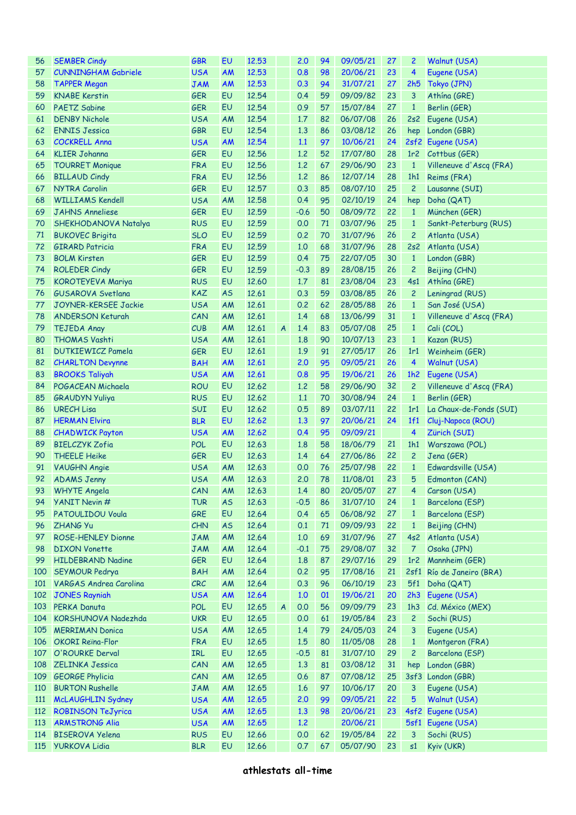| 56  | <b>SEMBER Cindy</b>         | <b>GBR</b> | EU        | 12.53 |                  | 2.0    | 94 | 09/05/21    | 27 | $\overline{c}$  | Walnut (USA)              |
|-----|-----------------------------|------------|-----------|-------|------------------|--------|----|-------------|----|-----------------|---------------------------|
| 57  | <b>CUNNINGHAM Gabriele</b>  | <b>USA</b> | AM        | 12.53 |                  | 0.8    | 98 | 20/06/21    | 23 | 4               | Eugene (USA)              |
| 58  | <b>TAPPER Megan</b>         | <b>JAM</b> | <b>AM</b> | 12.53 |                  | 0.3    | 94 | 31/07/21    | 27 | 2h5             | Tokyo (JPN)               |
| 59  | <b>KNABE Kerstin</b>        | <b>GER</b> | EU        | 12.54 |                  | 0.4    | 59 | 09/09/82    | 23 | 3               | Athína (GRE)              |
| 60  | <b>PAETZ Sabine</b>         | <b>GER</b> | EU        | 12.54 |                  | 0.9    | 57 | 15/07/84    | 27 | $\mathbf{1}$    | Berlin (GER)              |
| 61  | <b>DENBY Nichole</b>        | <b>USA</b> | AM        | 12.54 |                  | 1.7    | 82 | 06/07/08    | 26 | 2s2             | Eugene (USA)              |
| 62  | <b>ENNIS Jessica</b>        | <b>GBR</b> | EU        | 12.54 |                  | 1.3    | 86 | 03/08/12    | 26 | hep             | London (GBR)              |
| 63  | <b>COCKRELL Anna</b>        | <b>USA</b> | <b>AM</b> | 12.54 |                  | 1.1    | 97 | 10/06/21    | 24 |                 | 2sf2 Eugene (USA)         |
| 64  | <b>KLIER Johanna</b>        | <b>GER</b> | EU        | 12.56 |                  | 1.2    | 52 | 17/07/80    | 28 |                 | 1r2 Cottbus (GER)         |
| 65  | <b>TOURRET Monique</b>      | <b>FRA</b> | EU        | 12.56 |                  | 1.2    | 67 | 29/06/90    | 23 | $\mathbf{1}$    | Villeneuve d'Ascq (FRA)   |
| 66  | <b>BILLAUD Cindy</b>        | <b>FRA</b> | EU        | 12.56 |                  | 1.2    | 86 | 12/07/14    | 28 | 1h1             | Reims (FRA)               |
| 67  | <b>NYTRA Carolin</b>        | <b>GER</b> | EU        | 12.57 |                  | 0.3    | 85 | 08/07/10    | 25 | $\overline{c}$  | Lausanne (SUI)            |
| 68  | <b>WILLIAMS Kendell</b>     | <b>USA</b> | AM        | 12.58 |                  | 0.4    | 95 | 02/10/19    | 24 | hep             | Doha (QAT)                |
| 69  | <b>JAHNS Anneliese</b>      | <b>GER</b> | EU        | 12.59 |                  | $-0.6$ | 50 | 08/09/72    | 22 | $\mathbf{1}$    | München (GER)             |
| 70  | SHEKHODANOVA Natalya        | <b>RUS</b> | EU        | 12.59 |                  | 0.0    | 71 | 03/07/96    | 25 | $\mathbf{1}$    | Sankt-Peterburg (RUS)     |
| 71  | <b>BUKOVEC Brigita</b>      | <b>SLO</b> | EU        | 12.59 |                  | 0.2    | 70 | 31/07/96    | 26 | $\overline{c}$  | Atlanta (USA)             |
| 72  | <b>GIRARD Patricia</b>      | <b>FRA</b> | EU        | 12.59 |                  | 1.0    | 68 | 31/07/96    | 28 | 2s2             | Atlanta (USA)             |
| 73  | <b>BOLM Kirsten</b>         | <b>GER</b> | EU        | 12.59 |                  | 0.4    | 75 | 22/07/05    | 30 | $\mathbf{1}$    | London (GBR)              |
| 74  | <b>ROLEDER Cindy</b>        | <b>GER</b> | EU        | 12.59 |                  | $-0.3$ | 89 | 28/08/15    | 26 | $\overline{c}$  | Beijing (CHN)             |
| 75  | KOROTEYEVA Mariya           | <b>RUS</b> | EU        | 12.60 |                  | 1.7    | 81 | 23/08/04    | 23 | 4s1             | Athína (GRE)              |
| 76  | <b>GUSAROVA Svetlana</b>    | <b>KAZ</b> | <b>AS</b> | 12.61 |                  | 0.3    | 59 | 03/08/85    | 26 | $\overline{c}$  | Leningrad (RUS)           |
| 77  | <b>JOYNER-KERSEE Jackie</b> | <b>USA</b> | AM        | 12.61 |                  | 0.2    | 62 | 28/05/88    | 26 | $\mathbf{1}$    | San José (USA)            |
| 78  | <b>ANDERSON Keturah</b>     | CAN        | AM        | 12.61 |                  | 1.4    | 68 | 13/06/99    | 31 | $\mathbf{1}$    | Villeneuve d'Ascq (FRA)   |
| 79  | <b>TEJEDA Anay</b>          | CUB        | AM        | 12.61 | $\boldsymbol{A}$ | 1.4    | 83 | 05/07/08    | 25 | $\mathbf{1}$    | Cali (COL)                |
| 80  | <b>THOMAS Vashti</b>        | <b>USA</b> | AM        | 12.61 |                  | 1.8    | 90 | 10/07/13    | 23 | $\mathbf{1}$    | Kazan (RUS)               |
| 81  | <b>DUTKIEWICZ Pamela</b>    | <b>GER</b> | EU        | 12.61 |                  | 1.9    | 91 | 27/05/17    | 26 | 1r1             | Weinheim (GER)            |
| 82  | <b>CHARLTON Devynne</b>     | <b>BAH</b> | <b>AM</b> | 12.61 |                  | 2.0    | 95 | 09/05/21    | 26 | 4               | Walnut (USA)              |
| 83  | <b>BROOKS Taliyah</b>       | <b>USA</b> | AM        | 12.61 |                  | 0.8    | 95 | 19/06/21    | 26 | 1h2             | Eugene (USA)              |
| 84  | POGACEAN Michaela           | <b>ROU</b> | EU        | 12.62 |                  | 1,2    | 58 | 29/06/90    | 32 | $\overline{c}$  | Villeneuve d'Ascq (FRA)   |
| 85  | <b>GRAUDYN Yuliya</b>       | <b>RUS</b> | EU        | 12.62 |                  | 1.1    | 70 | 30/08/94    | 24 | $\mathbf{1}$    | Berlin (GER)              |
| 86  | <b>URECH Lisa</b>           | <b>SUI</b> | EU        | 12.62 |                  | 0.5    | 89 | 03/07/11    | 22 | 1r1             | La Chaux-de-Fonds (SUI)   |
| 87  | <b>HERMAN Elvira</b>        | <b>BLR</b> | EU        | 12.62 |                  | 1.3    | 97 | 20/06/21    | 24 | 1f1             | Cluj-Napoca (ROU)         |
| 88  | <b>CHADWICK Payton</b>      | <b>USA</b> | AM        | 12.62 |                  | 0.4    | 95 | 09/09/21    |    | 4               | Zürich (SUI)              |
| 89  | <b>BIELCZYK Zofia</b>       | <b>POL</b> | EU        | 12.63 |                  | 1.8    | 58 | 18/06/79    | 21 | 1h1             | Warszawa (POL)            |
| 90  | <b>THEELE Heike</b>         | <b>GER</b> | EU        | 12.63 |                  | 1.4    | 64 | 27/06/86    | 22 | $\overline{c}$  | Jena (GER)                |
| 91  | <b>VAUGHN Angie</b>         | <b>USA</b> | AM        | 12.63 |                  | 0.0    | 76 | 25/07/98    | 22 | $\mathbf{1}$    | Edwardsville (USA)        |
| 92  | <b>ADAMS Jenny</b>          | <b>USA</b> | AM        | 12.63 |                  | 2.0    | 78 | 11/08/01    | 23 | 5               | Edmonton (CAN)            |
|     | 93 WHYTE Angela             | CAN        | AM        | 12.63 |                  | 1.4    | 80 | 20/05/07 27 |    |                 | 4 Carson (USA)            |
| 94  | YANIT Nevin #               | <b>TUR</b> | <b>AS</b> | 12.63 |                  | $-0.5$ | 86 | 31/07/10    | 24 | $\mathbf{1}$    | Barcelona (ESP)           |
| 95  | PATOULIDOU Voula            | GRE        | EU        | 12.64 |                  | 0.4    | 65 | 06/08/92    | 27 | $\mathbf{1}$    | Barcelona (ESP)           |
| 96  | <b>ZHANG Yu</b>             | <b>CHN</b> | <b>AS</b> | 12.64 |                  | 0.1    | 71 | 09/09/93    | 22 | $\mathbf{1}$    | Beijing (CHN)             |
| 97  | <b>ROSE-HENLEY Dionne</b>   | <b>JAM</b> | AM        | 12.64 |                  | 1,0    | 69 | 31/07/96    | 27 | 4s2             | Atlanta (USA)             |
| 98  | <b>DIXON Vonette</b>        | <b>JAM</b> | AM        | 12.64 |                  | $-0.1$ | 75 | 29/08/07    | 32 | $\overline{7}$  | Osaka (JPN)               |
| 99  | <b>HILDEBRAND Nadine</b>    | <b>GER</b> | EU        | 12.64 |                  | 1.8    | 87 | 29/07/16    | 29 | 1r <sub>2</sub> | Mannheim (GER)            |
| 100 | SEYMOUR Pedrya              | <b>BAH</b> | AM        | 12.64 |                  | 0.2    | 95 | 17/08/16    | 21 |                 | 2sf1 Río de Janeiro (BRA) |
| 101 | VARGAS Andrea Carolina      | CRC        | AM        | 12.64 |                  | 0.3    | 96 | 06/10/19    | 23 | 5f1             | Doha (QAT)                |
| 102 | <b>JONES Rayniah</b>        | <b>USA</b> | <b>AM</b> | 12.64 |                  | 1,0    | 01 | 19/06/21    | 20 | 2h3             | Eugene (USA)              |
| 103 | PERKA Danuta                | <b>POL</b> | EU        | 12.65 | $\overline{A}$   | 0.0    | 56 | 09/09/79    | 23 | 1h3             | Cd. México (MEX)          |
| 104 | KORSHUNOVA Nadezhda         | <b>UKR</b> | EU        | 12.65 |                  | 0.0    | 61 | 19/05/84    | 23 | $\overline{c}$  | Sochi (RUS)               |
| 105 | <b>MERRIMAN Donica</b>      | <b>USA</b> | AM        | 12.65 |                  | 1.4    | 79 | 24/05/03    | 24 | 3               | Eugene (USA)              |
| 106 | <b>OKORI Reina-Flor</b>     | <b>FRA</b> | EU        | 12.65 |                  | 1.5    | 80 | 11/05/08    | 28 | $\mathbf{1}$    | Montgeron (FRA)           |
| 107 | O'ROURKE Derval             | IRL        | EU        | 12.65 |                  | $-0.5$ | 81 | 31/07/10    | 29 | $\overline{c}$  | Barcelona (ESP)           |
| 108 | ZELINKA Jessica             | CAN        | AM        | 12.65 |                  | 1.3    | 81 | 03/08/12    | 31 | hep             | London (GBR)              |
| 109 | <b>GEORGE Phylicia</b>      | CAN        | AM        | 12.65 |                  | 0.6    | 87 | 07/08/12    | 25 | 3sf3            | London (GBR)              |
| 110 | <b>BURTON Rushelle</b>      | <b>JAM</b> | AM        | 12.65 |                  | 1.6    | 97 | 10/06/17    | 20 | 3               | Eugene (USA)              |
| 111 | McLAUGHLIN Sydney           | <b>USA</b> | AM        | 12.65 |                  | 2.0    | 99 | 09/05/21    | 22 | 5               | Walnut (USA)              |
| 112 | <b>ROBINSON TeJyrica</b>    | <b>USA</b> | AM        | 12.65 |                  | 1.3    | 98 | 20/06/21    | 23 | 4sf2            | Eugene (USA)              |
| 113 | <b>ARMSTRONG Alia</b>       | <b>USA</b> | AM        | 12.65 |                  | 1,2    |    | 20/06/21    |    |                 | 5sf1 Eugene (USA)         |
| 114 | <b>BISEROVA Yelena</b>      | <b>RUS</b> | EU        | 12.66 |                  | 0.0    | 62 | 19/05/84    | 22 | 3               | Sochi (RUS)               |
| 115 | <b>YURKOVA Lidia</b>        | <b>BLR</b> | EU        | 12.66 |                  | 0.7    | 67 | 05/07/90    | 23 | s1              | Kyiv (UKR)                |
|     |                             |            |           |       |                  |        |    |             |    |                 |                           |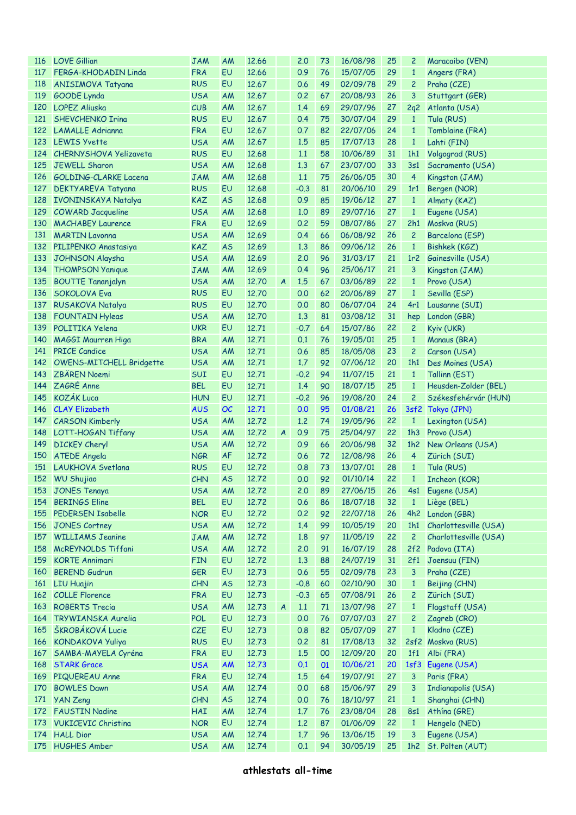| 116 | <b>LOVE Gillian</b>           | <b>JAM</b> | AM        | 12.66 |                  | 2.0    | 73 | 16/08/98 | 25 | $\overline{c}$  | Maracaibo (VEN)           |
|-----|-------------------------------|------------|-----------|-------|------------------|--------|----|----------|----|-----------------|---------------------------|
| 117 | FERGA-KHODADIN Linda          | <b>FRA</b> | EU        | 12.66 |                  | 0.9    | 76 | 15/07/05 | 29 | $\mathbf{1}$    | Angers (FRA)              |
| 118 | <b>ANISIMOVA Tatyana</b>      | <b>RUS</b> | EU        | 12.67 |                  | 0.6    | 49 | 02/09/78 | 29 | $\overline{c}$  | Praha (CZE)               |
| 119 | <b>GOODE</b> Lynda            | <b>USA</b> | AM        | 12.67 |                  | 0.2    | 67 | 20/08/93 | 26 | 3               | Stuttgart (GER)           |
| 120 | <b>LOPEZ Aliuska</b>          | CUB        | AM        | 12.67 |                  | 1.4    | 69 | 29/07/96 | 27 | 2q2             | Atlanta (USA)             |
| 121 | <b>SHEVCHENKO Irina</b>       | <b>RUS</b> | EU        | 12.67 |                  | 0.4    | 75 | 30/07/04 | 29 | $\mathbf{1}$    | Tula (RUS)                |
| 122 | <b>LAMALLE Adrianna</b>       | <b>FRA</b> | EU        | 12.67 |                  | 0.7    | 82 | 22/07/06 | 24 | $\mathbf{1}$    | Tomblaine (FRA)           |
| 123 | <b>LEWIS Yvette</b>           | <b>USA</b> | AM        | 12.67 |                  | 1.5    | 85 | 17/07/13 | 28 | $\mathbf{1}$    | Lahti (FIN)               |
| 124 | <b>CHERNYSHOVA Yelizaveta</b> | <b>RUS</b> | EU        | 12.68 |                  | 1.1    | 58 | 10/06/89 | 31 | 1h1             | Volgograd (RUS)           |
| 125 | <b>JEWELL Sharon</b>          | <b>USA</b> | AM        | 12.68 |                  | 1.3    | 67 | 23/07/00 | 33 | 3s1             | Sacramento (USA)          |
| 126 | <b>GOLDING-CLARKE Lacena</b>  | <b>JAM</b> | AM        | 12.68 |                  | 1.1    | 75 | 26/06/05 | 30 | $\overline{4}$  | Kingston (JAM)            |
| 127 | DEKTYAREVA Tatyana            | <b>RUS</b> | EU        | 12.68 |                  | $-0.3$ | 81 | 20/06/10 | 29 | 1r1             | Bergen (NOR)              |
| 128 | IVONINSKAYA Natalya           | KAZ        | <b>AS</b> | 12.68 |                  | 0.9    | 85 | 19/06/12 | 27 | $\mathbf{1}$    | Almaty (KAZ)              |
| 129 | <b>COWARD Jacqueline</b>      | <b>USA</b> | AM        | 12.68 |                  | 1.0    | 89 | 29/07/16 | 27 | $\mathbf{1}$    | Eugene (USA)              |
| 130 | <b>MACHABEY Laurence</b>      | <b>FRA</b> | EU        | 12.69 |                  | 0.2    | 59 | 08/07/86 | 27 | 2h1             | Moskva (RUS)              |
| 131 | <b>MARTIN Lavonna</b>         | <b>USA</b> | AM        | 12.69 |                  | 0.4    | 66 | 06/08/92 | 26 | $\overline{c}$  | Barcelona (ESP)           |
| 132 | PILIPENKO Anastasiya          | KAZ        | <b>AS</b> | 12.69 |                  | 1.3    | 86 | 09/06/12 | 26 | $\mathbf{1}$    | Bishkek (KGZ)             |
| 133 | <b>JOHNSON Alaysha</b>        | <b>USA</b> | AM        | 12.69 |                  | 2.0    | 96 | 31/03/17 | 21 | 1r <sub>2</sub> | Gainesville (USA)         |
| 134 | <b>THOMPSON Yanique</b>       | <b>JAM</b> | AM        | 12.69 |                  | 0.4    | 96 | 25/06/17 | 21 | 3               | Kingston (JAM)            |
| 135 | <b>BOUTTE Tananjalyn</b>      | <b>USA</b> | AM        | 12.70 | $\boldsymbol{A}$ | 1.5    | 67 | 03/06/89 | 22 | $\mathbf{1}$    | Provo (USA)               |
| 136 | <b>SOKOLOVA Eva</b>           | <b>RUS</b> | EU        | 12.70 |                  | 0.0    | 62 | 20/06/89 | 27 | $\mathbf{1}$    | Sevilla (ESP)             |
| 137 | RUSAKOVA Natalya              | <b>RUS</b> | EU        | 12.70 |                  | 0.0    | 80 | 06/07/04 | 24 | 4r1             | Lausanne (SUI)            |
| 138 | <b>FOUNTAIN Hyleas</b>        | <b>USA</b> | AM        | 12.70 |                  | 1.3    | 81 | 03/08/12 | 31 | hep             | London (GBR)              |
| 139 | POLITIKA Yelena               | <b>UKR</b> | EU        | 12.71 |                  | $-0.7$ | 64 | 15/07/86 | 22 | $\overline{c}$  | Kyiv (UKR)                |
| 140 | MAGGI Maurren Higa            | <b>BRA</b> | AM        | 12.71 |                  | 0.1    | 76 | 19/05/01 | 25 | $\mathbf{1}$    | Manaus (BRA)              |
| 141 | <b>PRICE Candice</b>          | <b>USA</b> | AM        | 12.71 |                  | 0.6    | 85 | 18/05/08 | 23 | $\overline{c}$  | Carson (USA)              |
| 142 | OWENS-MITCHELL Bridgette      | <b>USA</b> | AM        | 12.71 |                  | 1.7    | 92 | 07/06/12 | 20 | 1h1             | Des Moines (USA)          |
| 143 | <b>ZBÄREN Noemi</b>           | <b>SUI</b> | EU        | 12.71 |                  | $-0.2$ | 94 | 11/07/15 | 21 | $\mathbf{1}$    | Tallinn (EST)             |
| 144 | ZAGRÉ Anne                    | <b>BEL</b> | EU        | 12.71 |                  | 1.4    | 90 | 18/07/15 | 25 | $\mathbf{1}$    | Heusden-Zolder (BEL)      |
| 145 | <b>KOZÁK Luca</b>             | <b>HUN</b> | EU        | 12.71 |                  | $-0.2$ | 96 | 19/08/20 | 24 | $\overline{c}$  | Székesfehérvár (HUN)      |
| 146 | <b>CLAY Elizabeth</b>         | <b>AUS</b> | OC        | 12.71 |                  | 0.0    | 95 | 01/08/21 | 26 | 3sf2            | Tokyo (JPN)               |
| 147 | <b>CARSON Kimberly</b>        | <b>USA</b> | AM        | 12.72 |                  | 1.2    | 74 | 19/05/96 | 22 | $\mathbf{1}$    | Lexington (USA)           |
| 148 | LOTT-HOGAN Tiffany            | <b>USA</b> | AM        | 12.72 | $\boldsymbol{A}$ | 0.9    | 75 | 25/04/97 | 22 | 1h3             | Provo (USA)               |
| 149 | <b>DICKEY Cheryl</b>          | <b>USA</b> | AM        | 12.72 |                  | 0.9    | 66 | 20/06/98 | 32 | 1h2             | New Orleans (USA)         |
| 150 | <b>ATEDE Angela</b>           | <b>NGR</b> | AF        | 12.72 |                  | 0.6    | 72 | 12/08/98 | 26 | 4               | Zürich (SUI)              |
| 151 | LAUKHOVA Svetlana             | <b>RUS</b> | EU        | 12.72 |                  | 0.8    | 73 | 13/07/01 | 28 | $\mathbf{1}$    | Tula (RUS)                |
| 152 | <b>WU Shujiao</b>             | <b>CHN</b> | <b>AS</b> | 12.72 |                  | 0.0    | 92 | 01/10/14 | 22 | $\mathbf{1}$    | Incheon (KOR)             |
|     | 153 JONES Tenaya              | <b>USA</b> | AM        | 12.72 |                  | 2.0    | 89 | 27/06/15 |    |                 | 26 4s1 Eugene (USA)       |
| 154 | <b>BERINGS Eline</b>          | <b>BEL</b> | EU        | 12.72 |                  | 0.6    | 86 | 18/07/18 | 32 | $\mathbf{1}$    | Liège (BEL)               |
| 155 | PEDERSEN Isabelle             | <b>NOR</b> | EU        | 12.72 |                  | 0.2    | 92 | 22/07/18 | 26 | 4h2             | London (GBR)              |
| 156 | <b>JONES Cortney</b>          | <b>USA</b> | AM        | 12.72 |                  | 1.4    | 99 | 10/05/19 | 20 |                 | 1h1 Charlottesville (USA) |
| 157 | <b>WILLIAMS Jeanine</b>       | <b>JAM</b> | AM        | 12.72 |                  | 1.8    | 97 | 11/05/19 | 22 | $\overline{c}$  | Charlottesville (USA)     |
| 158 | McREYNOLDS Tiffani            | <b>USA</b> | AM        | 12.72 |                  | 2.0    | 91 | 16/07/19 | 28 | 2f2             | Padova (ITA)              |
| 159 | <b>KORTE Annimari</b>         | <b>FIN</b> | EU        | 12.72 |                  | 1.3    | 88 | 24/07/19 | 31 | 2f1             | Joensuu (FIN)             |
| 160 | <b>BEREND Gudrun</b>          | <b>GER</b> | EU        | 12.73 |                  | 0.6    | 55 | 02/09/78 | 23 | 3               | Praha (CZE)               |
| 161 | <b>LIU Huajin</b>             | CHN        | <b>AS</b> | 12.73 |                  | $-0.8$ | 60 | 02/10/90 | 30 | $\mathbf{1}$    | Beijing (CHN)             |
| 162 | <b>COLLE Florence</b>         | <b>FRA</b> | EU        | 12.73 |                  | $-0.3$ | 65 | 07/08/91 | 26 | $\overline{c}$  | Zürich (SUI)              |
| 163 | <b>ROBERTS Trecia</b>         | <b>USA</b> | AM        | 12.73 | $\boldsymbol{A}$ | 1.1    | 71 | 13/07/98 | 27 | $\mathbf{1}$    | Flagstaff (USA)           |
| 164 | TRYWIANSKA Aurelia            | <b>POL</b> | EU        | 12.73 |                  | 0.0    | 76 | 07/07/03 | 27 | $\overline{c}$  | Zagreb (CRO)              |
| 165 | ŠKROBÁKOVÁ Lucie              | CZE        | EU        | 12.73 |                  | 0.8    | 82 | 05/07/09 | 27 | $\mathbf{1}$    | Kladno (CZE)              |
| 166 | <b>KONDAKOVA Yuliya</b>       | <b>RUS</b> | EU        | 12.73 |                  | 0.2    | 81 | 17/08/13 | 32 |                 | 2sf2 Moskva (RUS)         |
| 167 | SAMBA-MAYELA Cyréna           | <b>FRA</b> | EU        | 12.73 |                  | 1.5    | 00 | 12/09/20 | 20 | 1f1             | Albi (FRA)                |
| 168 | <b>STARK Grace</b>            | <b>USA</b> | AM        | 12.73 |                  | 0.1    | 01 | 10/06/21 | 20 |                 | 1sf3 Eugene (USA)         |
| 169 | PIQUEREAU Anne                | <b>FRA</b> | EU        | 12.74 |                  | 1.5    | 64 | 19/07/91 | 27 | 3               | Paris (FRA)               |
| 170 | <b>BOWLES Dawn</b>            | <b>USA</b> | AM        | 12.74 |                  | 0.0    | 68 | 15/06/97 | 29 | 3               | Indianapolis (USA)        |
| 171 | <b>YAN Zeng</b>               | <b>CHN</b> | <b>AS</b> | 12.74 |                  | 0.0    | 76 | 18/10/97 | 21 | $\mathbf{1}$    | Shanghai (CHN)            |
| 172 | <b>FAUSTIN Nadine</b>         | <b>HAI</b> | AM        | 12.74 |                  | 1.7    | 76 | 23/08/04 | 28 | <b>8s1</b>      | Athína (GRE)              |
| 173 | <b>VUKICEVIC Christina</b>    | <b>NOR</b> | EU        | 12.74 |                  | 1.2    | 87 | 01/06/09 | 22 | $\mathbf{1}$    | Hengelo (NED)             |
| 174 | <b>HALL Dior</b>              | <b>USA</b> | AM        | 12.74 |                  | 1.7    | 96 | 13/06/15 | 19 | 3               | Eugene (USA)              |
| 175 | <b>HUGHES Amber</b>           | <b>USA</b> | AM        | 12.74 |                  | 0.1    | 94 | 30/05/19 | 25 | 1h2             | St. Pölten (AUT)          |
|     |                               |            |           |       |                  |        |    |          |    |                 |                           |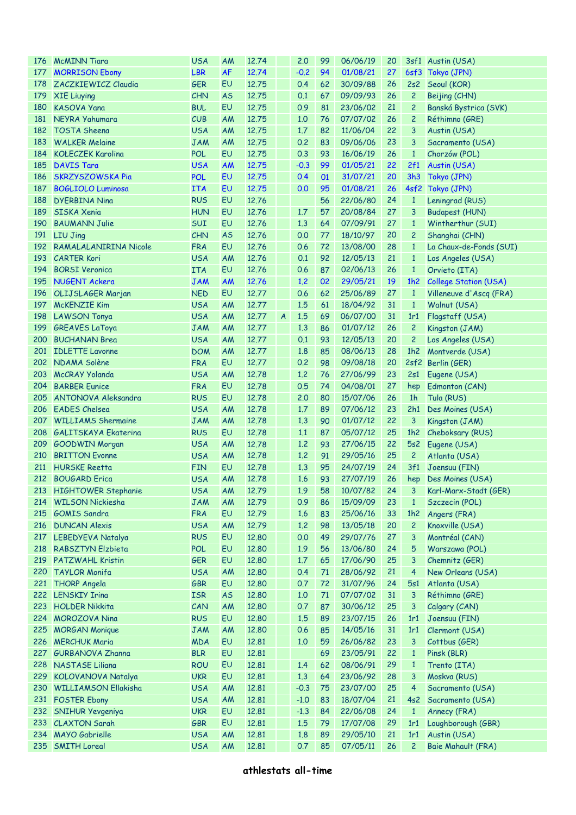| 176 | <b>McMINN Tiara</b>         | <b>USA</b> | AM        | 12.74 |                  | 2.0    | 99       | 06/06/19 | 20 |                | 3sf1 Austin (USA)          |
|-----|-----------------------------|------------|-----------|-------|------------------|--------|----------|----------|----|----------------|----------------------------|
| 177 | <b>MORRISON Ebony</b>       | <b>LBR</b> | <b>AF</b> | 12.74 |                  | $-0.2$ | 94       | 01/08/21 | 27 |                | 6sf3 Tokyo (JPN)           |
| 178 | ZACZKIEWICZ Claudia         | <b>GER</b> | EU        | 12.75 |                  | 0.4    | 62       | 30/09/88 | 26 | 2s2            | Seoul (KOR)                |
| 179 | <b>XIE Liuying</b>          | <b>CHN</b> | <b>AS</b> | 12.75 |                  | 0.1    | 67       | 09/09/93 | 26 | $\overline{c}$ | Beijing (CHN)              |
| 180 | <b>KASOVA Yana</b>          | <b>BUL</b> | EU        | 12.75 |                  | 0.9    | 81       | 23/06/02 | 21 | 2              | Banská Bystrica (SVK)      |
| 181 | NEYRA Yahumara              | CUB        | AM        | 12.75 |                  | 1.0    | 76       | 07/07/02 | 26 | $\overline{c}$ | Réthimno (GRE)             |
| 182 | <b>TOSTA Sheena</b>         | <b>USA</b> | AM        | 12.75 |                  | 1.7    | 82       | 11/06/04 | 22 | 3              | Austin (USA)               |
| 183 | <b>WALKER Melaine</b>       | <b>JAM</b> | <b>AM</b> | 12.75 |                  | 0.2    | 83       | 09/06/06 | 23 | 3              | Sacramento (USA)           |
| 184 | <b>KOŁECZEK Karolina</b>    | <b>POL</b> | EU        | 12.75 |                  | 0.3    | 93       | 16/06/19 | 26 | $\mathbf{1}$   | Chorzów (POL)              |
| 185 | <b>DAVIS Tara</b>           | <b>USA</b> | <b>AM</b> | 12.75 |                  | $-0.3$ | 99       | 01/05/21 | 22 | 2f1            | Austin (USA)               |
| 186 | <b>SKRZYSZOWSKA Pia</b>     | <b>POL</b> | EU        | 12.75 |                  | 0.4    | 01       | 31/07/21 | 20 | 3h3            | Tokyo (JPN)                |
| 187 | <b>BOGLIOLO Luminosa</b>    | <b>ITA</b> | EU        | 12.75 |                  | 0.0    | 95       | 01/08/21 | 26 |                | 4sf2 Tokyo (JPN)           |
| 188 | <b>DYERBINA Nina</b>        | <b>RUS</b> | EU        | 12.76 |                  |        | 56       | 22/06/80 | 24 | $\mathbf{1}$   | Leningrad (RUS)            |
| 189 | <b>SISKA Xenia</b>          | <b>HUN</b> | EU        | 12.76 |                  | 1.7    | 57       | 20/08/84 | 27 | 3              | <b>Budapest (HUN)</b>      |
| 190 | <b>BAUMANN Julie</b>        | SUI        | EU        | 12.76 |                  | 1.3    | 64       | 07/09/91 | 27 | $\mathbf{1}$   | Wintherthur (SUI)          |
| 191 | <b>LIU Jing</b>             | <b>CHN</b> | <b>AS</b> | 12.76 |                  | 0.0    | 77       | 18/10/97 | 20 | $\overline{c}$ | Shanghai (CHN)             |
| 192 | RAMALALANIRINA Nicole       | <b>FRA</b> | EU        | 12.76 |                  | 0.6    | 72       | 13/08/00 | 28 | $\mathbf{1}$   | La Chaux-de-Fonds (SUI)    |
| 193 | <b>CARTER Kori</b>          | <b>USA</b> | AM        | 12.76 |                  | 0.1    | 92       | 12/05/13 | 21 | $\mathbf{1}$   | Los Angeles (USA)          |
| 194 | <b>BORSI Veronica</b>       | <b>ITA</b> | EU        | 12.76 |                  | 0.6    | 87       | 02/06/13 | 26 | $\mathbf{1}$   | Orvieto (ITA)              |
| 195 | <b>NUGENT Ackera</b>        | <b>JAM</b> | <b>AM</b> | 12.76 |                  | 1.2    | 02       | 29/05/21 | 19 | 1h2            | College Station (USA)      |
| 196 | OLIJSLAGER Marjan           | <b>NED</b> | EU        | 12.77 |                  | 0.6    | 62       | 25/06/89 | 27 | $\mathbf{1}$   | Villeneuve d'Ascq (FRA)    |
| 197 | <b>McKENZIE Kim</b>         | <b>USA</b> | AM        | 12.77 |                  | 1.5    | 61       | 18/04/92 | 31 | $\mathbf{1}$   | Walnut (USA)               |
| 198 | <b>LAWSON Tonya</b>         | <b>USA</b> | AM        | 12.77 | $\boldsymbol{A}$ | 1.5    | 69       | 06/07/00 | 31 | 1r1            | Flagstaff (USA)            |
| 199 | <b>GREAVES LaToya</b>       | <b>JAM</b> | AM        | 12.77 |                  | 1.3    | 86       | 01/07/12 | 26 | $\overline{c}$ | Kingston (JAM)             |
| 200 | <b>BUCHANAN Brea</b>        | <b>USA</b> | AM        | 12.77 |                  | 0.1    | 93       | 12/05/13 | 20 | $\overline{c}$ | Los Angeles (USA)          |
| 201 | <b>IDLETTE Lavonne</b>      | <b>DOM</b> | <b>AM</b> | 12.77 |                  | 1.8    | 85       | 08/06/13 | 28 | 1h2            | Montverde (USA)            |
|     | 202 NDAMA Solène            | <b>FRA</b> | EU        | 12.77 |                  | 0.2    | 98       | 09/08/18 | 20 |                | 2sf2 Berlin (GER)          |
| 203 | McCRAY Yolanda              | <b>USA</b> | AM        | 12.78 |                  | 1.2    | 76       | 27/06/99 | 23 | 2s1            | Eugene (USA)               |
| 204 | <b>BARBER Eunice</b>        | <b>FRA</b> | EU        | 12.78 |                  | 0.5    | 74       | 04/08/01 | 27 | hep            | Edmonton (CAN)             |
| 205 | <b>ANTONOVA Aleksandra</b>  | <b>RUS</b> | EU        | 12.78 |                  | 2.0    | 80       | 15/07/06 | 26 | 1 <sub>h</sub> | Tula (RUS)                 |
| 206 | <b>EADES</b> Chelsea        | <b>USA</b> | <b>AM</b> | 12.78 |                  | 1.7    | 89       | 07/06/12 | 23 | 2h1            | Des Moines (USA)           |
| 207 | <b>WILLIAMS Shermaine</b>   | <b>JAM</b> | <b>AM</b> | 12.78 |                  | 1.3    | 90       | 01/07/12 | 22 | 3              | Kingston (JAM)             |
| 208 | <b>GALITSKAYA Ekaterina</b> | <b>RUS</b> | EU        | 12.78 |                  | 1.1    | 87       | 05/07/12 | 25 | 1h2            | Cheboksary (RUS)           |
| 209 | <b>GOODWIN Morgan</b>       | <b>USA</b> | <b>AM</b> | 12.78 |                  | 1.2    | 93       | 27/06/15 | 22 | 5s2            | Eugene (USA)               |
| 210 | <b>BRITTON</b> Evonne       | <b>USA</b> | <b>AM</b> | 12.78 |                  | 1.2    | 91       | 29/05/16 | 25 | $\overline{c}$ | Atlanta (USA)              |
| 211 | <b>HURSKE</b> Reetta        | <b>FIN</b> | EU        | 12.78 |                  | 1.3    | 95       | 24/07/19 | 24 | 3f1            | Joensuu (FIN)              |
|     | 212 BOUGARD Erica           | <b>USA</b> | AM        | 12,78 |                  | 1.6    | 93       | 27/07/19 | 26 |                | hep Des Moines (USA)       |
|     | 213 HIGHTOWER Stephanie     | <b>USA</b> | AM        | 12.79 |                  | 1.9    | 58       | 10/07/82 |    |                | 24 3 Karl-Marx-Stadt (GER) |
| 214 | <b>WILSON Nickiesha</b>     | <b>JAM</b> | <b>AM</b> | 12.79 |                  | 0.9    | 86       | 15/09/09 | 23 | $\mathbf{1}$   | Szczecin (POL)             |
| 215 | <b>GOMIS Sandra</b>         | <b>FRA</b> | EU        | 12.79 |                  | 1.6    | 83       | 25/06/16 | 33 | 1h2            | Angers (FRA)               |
| 216 | <b>DUNCAN Alexis</b>        | <b>USA</b> | <b>AM</b> | 12.79 |                  | 1.2    | 98       | 13/05/18 | 20 | $\overline{c}$ | Knoxville (USA)            |
| 217 | LEBEDYEVA Natalya           | <b>RUS</b> | EU        | 12,80 |                  | 0.0    | 49       | 29/07/76 | 27 | 3              | Montréal (CAN)             |
| 218 | <b>RABSZTYN Elzbieta</b>    | <b>POL</b> | EU        | 12,80 |                  | 1.9    | 56       | 13/06/80 | 24 | 5              | Warszawa (POL)             |
| 219 | <b>PATZWAHL Kristin</b>     | <b>GER</b> | EU        | 12,80 |                  | 1.7    | 65       | 17/06/90 | 25 | 3              | Chemnitz (GER)             |
| 220 | <b>TAYLOR Monifa</b>        | <b>USA</b> | <b>AM</b> | 12,80 |                  | 0.4    | 71       | 28/06/92 | 21 | $\overline{4}$ | New Orleans (USA)          |
| 221 | <b>THORP Angela</b>         | GBR        | EU        | 12,80 |                  | 0.7    | 72       | 31/07/96 | 24 | 5s1            | Atlanta (USA)              |
|     | 222 LENSKIY Irina           | <b>ISR</b> | <b>AS</b> | 12,80 |                  | 1.0    | $\bf 71$ | 07/07/02 | 31 | 3              | Réthimno (GRE)             |
| 223 | <b>HOLDER Nikkita</b>       | CAN        | AM        | 12,80 |                  | 0.7    | 87       | 30/06/12 | 25 | 3              | Calgary (CAN)              |
| 224 | <b>MOROZOVA Nina</b>        | <b>RUS</b> | EU        | 12,80 |                  | 1.5    | 89       | 23/07/15 | 26 | 1r1            | Joensuu (FIN)              |
| 225 | <b>MORGAN Monique</b>       | <b>JAM</b> | <b>AM</b> | 12,80 |                  | 0.6    | 85       | 14/05/16 | 31 | 1r1            | Clermont (USA)             |
| 226 | <b>MERCHUK Maria</b>        | <b>MDA</b> | EU        | 12.81 |                  | 1.0    | 59       | 26/06/82 | 23 | 3              | Cottbus (GER)              |
| 227 | <b>GURBANOVA Zhanna</b>     | <b>BLR</b> | EU        | 12.81 |                  |        | 69       | 23/05/91 | 22 | $\mathbf{1}$   | Pinsk (BLR)                |
| 228 | <b>NASTASE Liliana</b>      | <b>ROU</b> | EU        | 12.81 |                  | 1.4    | 62       | 08/06/91 | 29 | $\mathbf{1}$   | Trento (ITA)               |
| 229 | KOLOVANOVA Natalya          | <b>UKR</b> | EU        | 12.81 |                  | 1.3    | 64       | 23/06/92 | 28 | 3              | Moskva (RUS)               |
| 230 | <b>WILLIAMSON Ellakisha</b> | <b>USA</b> | AM        | 12.81 |                  | $-0.3$ | 75       | 23/07/00 | 25 | $\overline{4}$ | Sacramento (USA)           |
| 231 | <b>FOSTER Ebony</b>         | <b>USA</b> | <b>AM</b> | 12.81 |                  | $-1.0$ | 83       | 18/07/04 | 21 | 4s2            | Sacramento (USA)           |
| 232 | <b>SNIHUR Yevgeniya</b>     | <b>UKR</b> | EU        | 12.81 |                  | $-1.3$ | 84       | 22/06/08 | 24 | $\mathbf{1}$   | Annecy (FRA)               |
| 233 | <b>CLAXTON Sarah</b>        | GBR        | EU        | 12.81 |                  | 1.5    | 79       | 17/07/08 | 29 | 1r1            | Loughborough (GBR)         |
| 234 | <b>MAYO</b> Gabrielle       | <b>USA</b> | AM        | 12.81 |                  | 1.8    | 89       | 29/05/10 | 21 | 1r1            | Austin (USA)               |
| 235 | <b>SMITH Loreal</b>         | <b>USA</b> | AM        | 12.81 |                  | 0.7    | 85       | 07/05/11 | 26 | $\overline{c}$ | Baie Mahault (FRA)         |
|     |                             |            |           |       |                  |        |          |          |    |                |                            |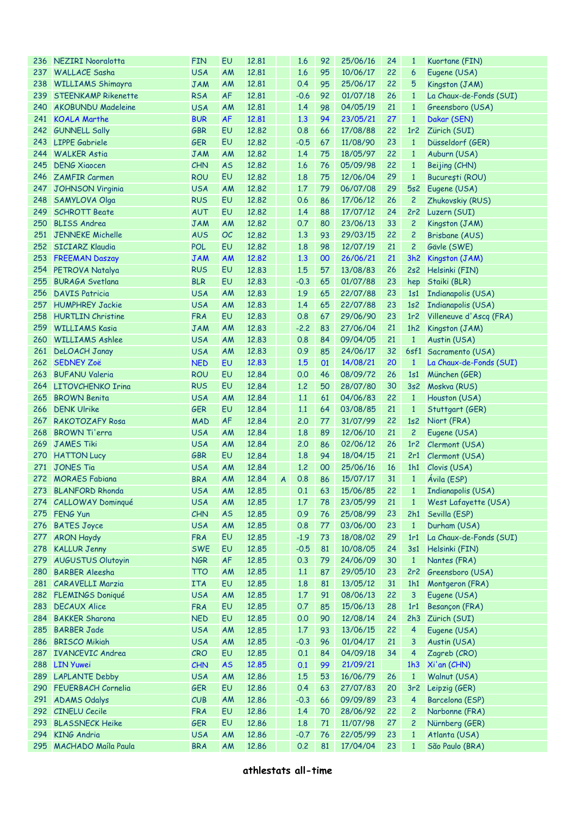| 236 | NEZIRI Nooralotta          | <b>FIN</b> | EU        | 12.81 |                | 1.6      | 92 | 25/06/16 | 24 | $\mathbf{1}$    | Kuortane (FIN)          |
|-----|----------------------------|------------|-----------|-------|----------------|----------|----|----------|----|-----------------|-------------------------|
| 237 | <b>WALLACE Sasha</b>       | <b>USA</b> | AM        | 12,81 |                | 1.6      | 95 | 10/06/17 | 22 | 6               | Eugene (USA)            |
| 238 | <b>WILLIAMS Shimayra</b>   | <b>JAM</b> | AM        | 12,81 |                | 0.4      | 95 | 25/06/17 | 22 | 5               | Kingston (JAM)          |
| 239 | <b>STEENKAMP Rikenette</b> | <b>RSA</b> | <b>AF</b> | 12,81 |                | $-0.6$   | 92 | 01/07/18 | 26 | $\mathbf{1}$    | La Chaux-de-Fonds (SUI) |
| 240 | <b>AKOBUNDU Madeleine</b>  | <b>USA</b> | AM        | 12,81 |                | 1.4      | 98 | 04/05/19 | 21 | $\mathbf{1}$    | Greensboro (USA)        |
| 241 | <b>KOALA Marthe</b>        | <b>BUR</b> | <b>AF</b> | 12,81 |                | 1.3      | 94 | 23/05/21 | 27 | $\mathbf{1}$    | Dakar (SEN)             |
| 242 | <b>GUNNELL Sally</b>       | <b>GBR</b> | EU        | 12.82 |                | 0.8      | 66 | 17/08/88 | 22 | 1r <sub>2</sub> | Zürich (SUI)            |
| 243 | <b>LIPPE Gabriele</b>      | <b>GER</b> | EU        | 12.82 |                | $-0.5$   | 67 | 11/08/90 | 23 | $\mathbf{1}$    | Düsseldorf (GER)        |
| 244 | <b>WALKER Astia</b>        | <b>JAM</b> | AM        | 12.82 |                | 1.4      | 75 | 18/05/97 | 22 | $\mathbf{1}$    | Auburn (USA)            |
| 245 | <b>DENG Xiaocen</b>        | <b>CHN</b> | <b>AS</b> | 12.82 |                | 1.6      | 76 | 05/09/98 | 22 | $\mathbf{1}$    | Beijing (CHN)           |
| 246 | <b>ZAMFIR Carmen</b>       | <b>ROU</b> | EU        | 12.82 |                | 1.8      | 75 | 12/06/04 | 29 | $\mathbf{1}$    |                         |
|     |                            |            |           |       |                |          | 79 |          |    |                 | București (ROU)         |
| 247 | <b>JOHNSON Virginia</b>    | <b>USA</b> | AM        | 12.82 |                | 1.7      |    | 06/07/08 | 29 | 5s2             | Eugene (USA)            |
| 248 | <b>SAMYLOVA Olga</b>       | <b>RUS</b> | EU        | 12.82 |                | 0.6      | 86 | 17/06/12 | 26 | $\overline{c}$  | Zhukovskiy (RUS)        |
| 249 | <b>SCHROTT Beate</b>       | <b>AUT</b> | EU        | 12.82 |                | 1.4      | 88 | 17/07/12 | 24 | 2r2             | Luzern (SUI)            |
| 250 | <b>BLISS Andrea</b>        | <b>JAM</b> | AM        | 12.82 |                | 0.7      | 80 | 23/06/13 | 33 | $\overline{c}$  | Kingston (JAM)          |
| 251 | JENNEKE Michelle           | <b>AUS</b> | OC        | 12.82 |                | 1.3      | 93 | 29/03/15 | 22 | $\overline{c}$  | Brisbane (AUS)          |
| 252 | <b>SICIARZ Klaudia</b>     | <b>POL</b> | EU        | 12.82 |                | 1.8      | 98 | 12/07/19 | 21 | $\overline{c}$  | Gävle (SWE)             |
| 253 | <b>FREEMAN Daszay</b>      | <b>JAM</b> | AM        | 12.82 |                | 1.3      | 00 | 26/06/21 | 21 | 3h2             | Kingston (JAM)          |
|     | 254 PETROVA Natalya        | <b>RUS</b> | EU        | 12.83 |                | 1.5      | 57 | 13/08/83 | 26 | 2s2             | Helsinki (FIN)          |
| 255 | <b>BURAGA Svetlana</b>     | <b>BLR</b> | EU        | 12.83 |                | $-0.3$   | 65 | 01/07/88 | 23 | hep             | Staiki (BLR)            |
| 256 | <b>DAVIS Patricia</b>      | <b>USA</b> | AM        | 12.83 |                | 1.9      | 65 | 22/07/88 | 23 | 1s1             | Indianapolis (USA)      |
| 257 | <b>HUMPHREY Jackie</b>     | <b>USA</b> | AM        | 12.83 |                | 1.4      | 65 | 22/07/88 | 23 | 1s <sub>2</sub> | Indianapolis (USA)      |
| 258 | <b>HURTLIN Christine</b>   | <b>FRA</b> | EU        | 12.83 |                | 0.8      | 67 | 29/06/90 | 23 | 1r <sub>2</sub> | Villeneuve d'Ascq (FRA) |
| 259 | <b>WILLIAMS Kasia</b>      | <b>JAM</b> | AM        | 12.83 |                | $-2.2$   | 83 | 27/06/04 | 21 | 1h2             | Kingston (JAM)          |
| 260 | <b>WILLIAMS Ashlee</b>     | <b>USA</b> | AM        | 12.83 |                | 0.8      | 84 | 09/04/05 | 21 | $\mathbf{1}$    | Austin (USA)            |
| 261 | DeLOACH Janay              | <b>USA</b> | AM        | 12.83 |                | 0.9      | 85 | 24/06/17 | 32 |                 | 6sf1 Sacramento (USA)   |
| 262 | <b>SEDNEY Zoë</b>          | <b>NED</b> | EU        | 12.83 |                | 1.5      | 01 | 14/08/21 | 20 | $\mathbf{1}$    | La Chaux-de-Fonds (SUI) |
| 263 | <b>BUFANU Valeria</b>      | <b>ROU</b> | EU        | 12.84 |                | 0.0      | 46 | 08/09/72 | 26 | 1s1             | München (GER)           |
| 264 | LITOVCHENKO Irina          | <b>RUS</b> | EU        | 12.84 |                | 1.2      | 50 | 28/07/80 | 30 | 3s2             | Moskva (RUS)            |
| 265 | <b>BROWN Benita</b>        | <b>USA</b> | AM        | 12.84 |                | 1.1      | 61 | 04/06/83 | 22 | $\mathbf{1}$    | Houston (USA)           |
| 266 | <b>DENK Ulrike</b>         | <b>GER</b> | EU        | 12.84 |                | 1.1      | 64 | 03/08/85 | 21 | $\mathbf{1}$    | Stuttgart (GER)         |
| 267 | <b>RAKOTOZAFY Rosa</b>     | <b>MAD</b> | <b>AF</b> | 12.84 |                | 2.0      | 77 | 31/07/99 | 22 | 1s2             | Niort (FRA)             |
| 268 | <b>BROWN Ti'erra</b>       | <b>USA</b> | AM        | 12.84 |                | 1.8      | 89 | 12/06/10 | 21 | $\overline{c}$  | Eugene (USA)            |
| 269 | <b>JAMES Tiki</b>          |            |           | 12.84 |                | 2.0      | 86 | 02/06/12 | 26 | 1r <sub>2</sub> |                         |
|     |                            | <b>USA</b> | AM        |       |                |          |    |          |    |                 | Clermont (USA)          |
| 270 | <b>HATTON Lucy</b>         | <b>GBR</b> | EU        | 12.84 |                | 1.8      | 94 | 18/04/15 | 21 | 2r1             | Clermont (USA)          |
| 271 | <b>JONES Tia</b>           | <b>USA</b> | AM        | 12.84 |                | 1.2      | 00 | 25/06/16 | 16 |                 | 1h1 Clovis (USA)        |
| 272 | <b>MORAES Fabiana</b>      | <b>BRA</b> | AM        | 12.84 | $\overline{A}$ | 0.8      | 86 | 15/07/17 | 31 | $\mathbf{1}$    | Avila (ESP)             |
|     | 273 BLANFORD Rhonda        | <b>USA</b> | AM        | 12.85 |                | $0.1$ 63 |    | 15/06/85 |    |                 | 22 1 Indianapolis (USA) |
|     | 274 CALLOWAY Dominqué      | <b>USA</b> | AM        | 12.85 |                | 1.7      | 78 | 23/05/99 | 21 | $\mathbf{1}$    | West Lafayette (USA)    |
| 275 | FENG Yun                   | CHN        | <b>AS</b> | 12.85 |                | 0.9      | 76 | 25/08/99 | 23 | 2h1             | Sevilla (ESP)           |
| 276 | <b>BATES Joyce</b>         | <b>USA</b> | AM        | 12.85 |                | 0.8      | 77 | 03/06/00 | 23 | $\mathbf{1}$    | Durham (USA)            |
| 277 | <b>ARON Haydy</b>          | <b>FRA</b> | EU        | 12.85 |                | $-1.9$   | 73 | 18/08/02 | 29 | 1r1             | La Chaux-de-Fonds (SUI) |
| 278 | <b>KALLUR Jenny</b>        | <b>SWE</b> | EU        | 12.85 |                | $-0.5$   | 81 | 10/08/05 | 24 | 3s1             | Helsinki (FIN)          |
| 279 | <b>AUGUSTUS Olutoyin</b>   | <b>NGR</b> | AF        | 12.85 |                | 0.3      | 79 | 24/06/09 | 30 | $\mathbf{1}$    | Nantes (FRA)            |
| 280 | <b>BARBER Aleesha</b>      | <b>TTO</b> | AM        | 12.85 |                | 1.1      | 87 | 29/05/10 | 23 | 2r2             | Greensboro (USA)        |
| 281 | <b>CARAVELLI Marzia</b>    | <b>ITA</b> | EU        | 12.85 |                | 1.8      | 81 | 13/05/12 | 31 | 1h1             | Montgeron (FRA)         |
| 282 | <b>FLEMINGS Doniqué</b>    | <b>USA</b> | AM        | 12.85 |                | 1.7      | 91 | 08/06/13 | 22 | 3               | Eugene (USA)            |
| 283 | <b>DECAUX Alice</b>        | <b>FRA</b> | EU        | 12.85 |                | 0.7      | 85 | 15/06/13 | 28 | 1r1             | <b>Besançon (FRA)</b>   |
|     | 284 BAKKER Sharona         | <b>NED</b> | EU        | 12.85 |                | 0.0      | 90 | 12/08/14 | 24 | 2h3             | Zürich (SUI)            |
| 285 | <b>BARBER Jade</b>         | <b>USA</b> | AM        | 12.85 |                | $1.7$    | 93 | 13/06/15 | 22 | $\overline{4}$  | Eugene (USA)            |
| 286 | <b>BRISCO Mikiah</b>       | <b>USA</b> | AM        | 12.85 |                | $-0.3$   | 96 | 01/04/17 | 21 | 3               | Austin (USA)            |
| 287 | <b>IVANCEVIC Andrea</b>    | <b>CRO</b> | EU        | 12.85 |                | 0.1      | 84 | 04/09/18 | 34 | $\overline{4}$  | Zagreb (CRO)            |
| 288 | <b>LIN Yuwei</b>           | CHN        | <b>AS</b> | 12.85 |                | 0.1      | 99 | 21/09/21 |    | 1h3             | Xi'an (CHN)             |
| 289 | <b>LAPLANTE Debby</b>      | <b>USA</b> | AM        | 12.86 |                | 1.5      | 53 | 16/06/79 | 26 | $\mathbf{1}$    | Walnut (USA)            |
| 290 |                            |            | EU        |       |                |          |    |          | 20 |                 |                         |
|     | <b>FEUERBACH Cornelia</b>  | <b>GER</b> |           | 12.86 |                | 0.4      | 63 | 27/07/83 |    | 3r <sub>2</sub> | Leipzig (GER)           |
| 291 | <b>ADAMS Odalys</b>        | CUB        | AM        | 12.86 |                | $-0.3$   | 66 | 09/09/89 | 23 | $\overline{4}$  | Barcelona (ESP)         |
| 292 | <b>CINELU Cecile</b>       | <b>FRA</b> | EU        | 12.86 |                | 1.4      | 70 | 28/06/92 | 22 | $\overline{c}$  | Narbonne (FRA)          |
| 293 | <b>BLASSNECK Heike</b>     | <b>GER</b> | EU        | 12.86 |                | 1.8      | 71 | 11/07/98 | 27 | $\overline{c}$  | Nürnberg (GER)          |
| 294 | <b>KING Andria</b>         | <b>USA</b> | AM        | 12.86 |                | $-0.7$   | 76 | 22/05/99 | 23 | $\mathbf{1}$    | Atlanta (USA)           |
| 295 | MACHADO Maíla Paula        | <b>BRA</b> | AM        | 12.86 |                | 0.2      | 81 | 17/04/04 | 23 | $\mathbf{1}$    | São Paulo (BRA)         |